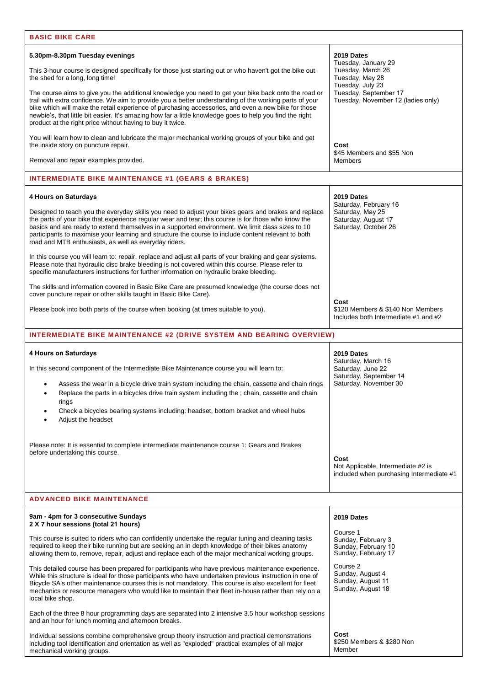| <b>BASIC BIKE CARE</b>                                                                                                                                                                                                                                                                                                                                                                                                                                                                           |                                                                                                                         |  |
|--------------------------------------------------------------------------------------------------------------------------------------------------------------------------------------------------------------------------------------------------------------------------------------------------------------------------------------------------------------------------------------------------------------------------------------------------------------------------------------------------|-------------------------------------------------------------------------------------------------------------------------|--|
| 5.30pm-8.30pm Tuesday evenings                                                                                                                                                                                                                                                                                                                                                                                                                                                                   | 2019 Dates<br>Tuesday, January 29                                                                                       |  |
| This 3-hour course is designed specifically for those just starting out or who haven't got the bike out<br>the shed for a long, long time!                                                                                                                                                                                                                                                                                                                                                       | Tuesday, March 26<br>Tuesday, May 28<br>Tuesday, July 23<br>Tuesday, September 17<br>Tuesday, November 12 (ladies only) |  |
| The course aims to give you the additional knowledge you need to get your bike back onto the road or<br>trail with extra confidence. We aim to provide you a better understanding of the working parts of your<br>bike which will make the retail experience of purchasing accessories, and even a new bike for those<br>newbie's, that little bit easier. It's amazing how far a little knowledge goes to help you find the right<br>product at the right price without having to buy it twice. |                                                                                                                         |  |
| You will learn how to clean and lubricate the major mechanical working groups of your bike and get<br>the inside story on puncture repair.                                                                                                                                                                                                                                                                                                                                                       | Cost<br>\$45 Members and \$55 Non                                                                                       |  |
| Removal and repair examples provided.                                                                                                                                                                                                                                                                                                                                                                                                                                                            | <b>Members</b>                                                                                                          |  |
| <b>INTERMEDIATE BIKE MAINTENANCE #1 (GEARS &amp; BRAKES)</b>                                                                                                                                                                                                                                                                                                                                                                                                                                     |                                                                                                                         |  |
| 4 Hours on Saturdays                                                                                                                                                                                                                                                                                                                                                                                                                                                                             | 2019 Dates                                                                                                              |  |
| Designed to teach you the everyday skills you need to adjust your bikes gears and brakes and replace<br>the parts of your bike that experience regular wear and tear; this course is for those who know the<br>basics and are ready to extend themselves in a supported environment. We limit class sizes to 10<br>participants to maximise your learning and structure the course to include content relevant to both<br>road and MTB enthusiasts, as well as everyday riders.                  | Saturday, February 16<br>Saturday, May 25<br>Saturday, August 17<br>Saturday, October 26                                |  |
| In this course you will learn to: repair, replace and adjust all parts of your braking and gear systems.<br>Please note that hydraulic disc brake bleeding is not covered within this course. Please refer to<br>specific manufacturers instructions for further information on hydraulic brake bleeding.                                                                                                                                                                                        |                                                                                                                         |  |
| The skills and information covered in Basic Bike Care are presumed knowledge (the course does not<br>cover puncture repair or other skills taught in Basic Bike Care).                                                                                                                                                                                                                                                                                                                           |                                                                                                                         |  |
| Please book into both parts of the course when booking (at times suitable to you).                                                                                                                                                                                                                                                                                                                                                                                                               | Cost<br>\$120 Members & \$140 Non Members<br>Includes both Intermediate #1 and #2                                       |  |
| <b>INTERMEDIATE BIKE MAINTENANCE #2 (DRIVE SYSTEM AND BEARING OVERVIEW)</b>                                                                                                                                                                                                                                                                                                                                                                                                                      |                                                                                                                         |  |
| 4 Hours on Saturdays                                                                                                                                                                                                                                                                                                                                                                                                                                                                             | 2019 Dates                                                                                                              |  |
| In this second component of the Intermediate Bike Maintenance course you will learn to:                                                                                                                                                                                                                                                                                                                                                                                                          | Saturday, March 16<br>Saturday, June 22                                                                                 |  |
| Assess the wear in a bicycle drive train system including the chain, cassette and chain rings<br>Replace the parts in a bicycles drive train system including the ; chain, cassette and chain<br>$\bullet$<br>rings                                                                                                                                                                                                                                                                              | Saturday, September 14<br>Saturday, November 30                                                                         |  |
| Check a bicycles bearing systems including: headset, bottom bracket and wheel hubs<br>Adjust the headset                                                                                                                                                                                                                                                                                                                                                                                         |                                                                                                                         |  |
| Please note: It is essential to complete intermediate maintenance course 1: Gears and Brakes                                                                                                                                                                                                                                                                                                                                                                                                     |                                                                                                                         |  |
| before undertaking this course.                                                                                                                                                                                                                                                                                                                                                                                                                                                                  | Cost<br>Not Applicable, Intermediate #2 is<br>included when purchasing Intermediate #1                                  |  |
| <b>ADVANCED BIKE MAINTENANCE</b>                                                                                                                                                                                                                                                                                                                                                                                                                                                                 |                                                                                                                         |  |
| 9am - 4pm for 3 consecutive Sundays<br>2 X 7 hour sessions (total 21 hours)                                                                                                                                                                                                                                                                                                                                                                                                                      | 2019 Dates                                                                                                              |  |
| This course is suited to riders who can confidently undertake the regular tuning and cleaning tasks<br>required to keep their bike running but are seeking an in depth knowledge of their bikes anatomy<br>allowing them to, remove, repair, adjust and replace each of the major mechanical working groups.                                                                                                                                                                                     | Course 1<br>Sunday, February 3<br>Sunday, February 10<br>Sunday, February 17                                            |  |
| This detailed course has been prepared for participants who have previous maintenance experience.<br>While this structure is ideal for those participants who have undertaken previous instruction in one of<br>Bicycle SA's other maintenance courses this is not mandatory. This course is also excellent for fleet<br>mechanics or resource managers who would like to maintain their fleet in-house rather than rely on a<br>local bike shop.                                                | Course 2<br>Sunday, August 4<br>Sunday, August 11<br>Sunday, August 18                                                  |  |
| Each of the three 8 hour programming days are separated into 2 intensive 3.5 hour workshop sessions<br>and an hour for lunch morning and afternoon breaks.                                                                                                                                                                                                                                                                                                                                       |                                                                                                                         |  |
| Individual sessions combine comprehensive group theory instruction and practical demonstrations<br>including tool identification and orientation as well as "exploded" practical examples of all major<br>mechanical working groups.                                                                                                                                                                                                                                                             | Cost<br>\$250 Members & \$280 Non<br>Member                                                                             |  |